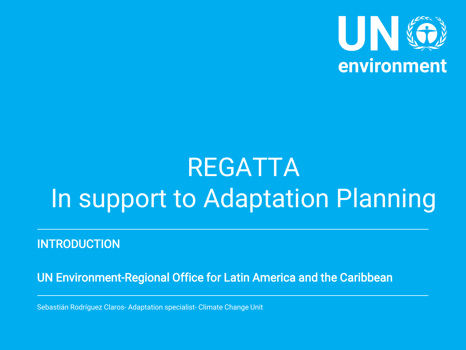

# REGATTA In support to Adaptation Planning

**INTRODUCTION** 

UN Environment-Regional Office for Latin America and the Caribbean

Sebastián Rodríguez Claros- Adaptation specialist- Climate Change Unit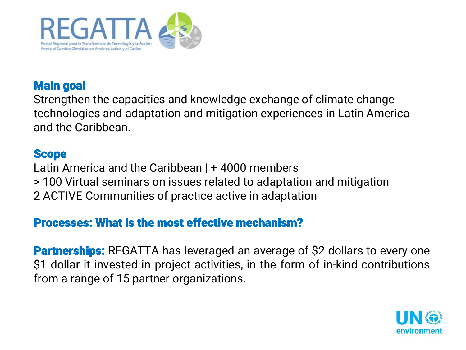

### Main goal

Strengthen the capacities and knowledge exchange of climate change technologies and adaptation and mitigation experiences in Latin America and the Caribbean.

#### **Scope**

Latin America and the Caribbean | + 4000 members > 100 Virtual seminars on issues related to adaptation and mitigation 2 ACTIVE Communities of practice active in adaptation

### Processes: What is the most effective mechanism?

**Partnerships:** REGATTA has leveraged an average of \$2 dollars to every one \$1 dollar it invested in project activities, in the form of in-kind contributions from a range of 15 partner organizations.

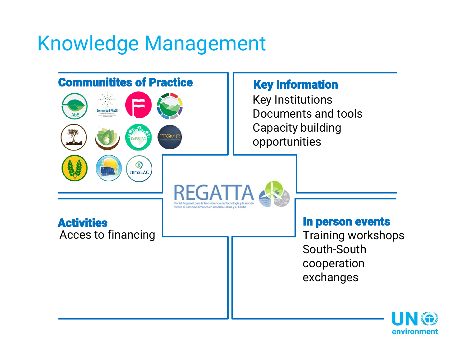### Knowledge Management



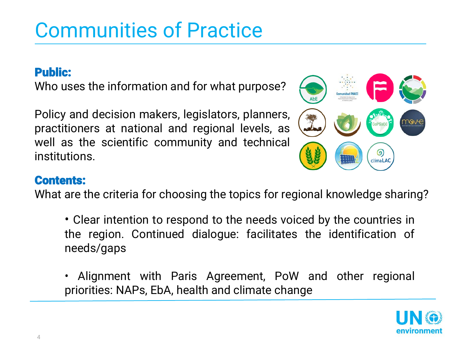## Communities of Practice

### Public:

Who uses the information and for what purpose?

Policy and decision makers, legislators, planners, practitioners at national and regional levels, as well as the scientific community and technical institutions.



#### Contents:

What are the criteria for choosing the topics for regional knowledge sharing?

- Clear intention to respond to the needs voiced by the countries in the region. Continued dialogue: facilitates the identification of needs/gaps
- Alignment with Paris Agreement, PoW and other regional priorities: NAPs, EbA, health and climate change

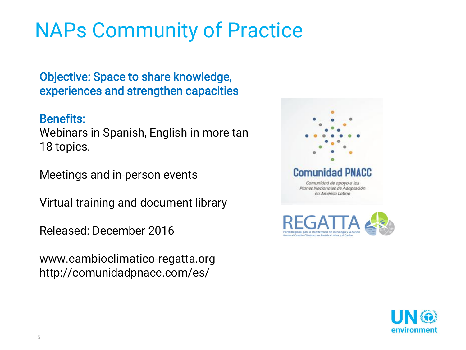### NAPs Community of Practice

Objective: Space to share knowledge, experiences and strengthen capacities

#### Benefits:

Webinars in Spanish, English in more tan 18 topics.

Meetings and in-person events

Virtual training and document library

Released: December 2016

www.cambioclimatico-regatta.org http://comunidadpnacc.com/es/



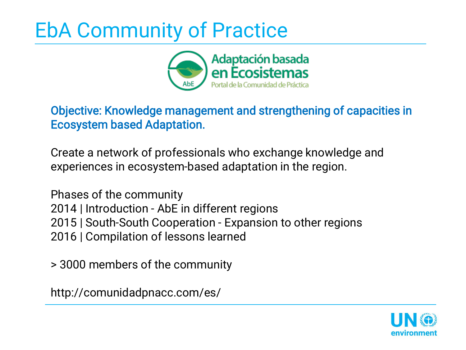## EbA Community of Practice



### Objective: Knowledge management and strengthening of capacities in Ecosystem based Adaptation.

Create a network of professionals who exchange knowledge and experiences in ecosystem-based adaptation in the region.

Phases of the community 2014 | Introduction - AbE in different regions 2015 | South-South Cooperation - Expansion to other regions 2016 | Compilation of lessons learned

> 3000 members of the community

http://comunidadpnacc.com/es/

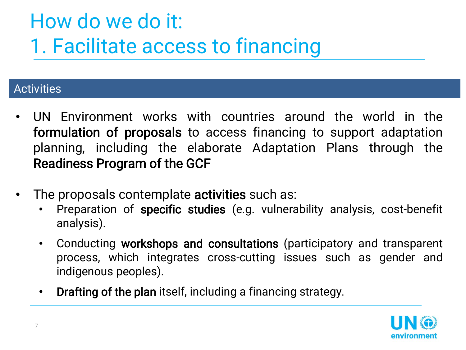## How do we do it: 1. Facilitate access to financing

#### **Activities**

- UN Environment works with countries around the world in the formulation of proposals to access financing to support adaptation planning, including the elaborate Adaptation Plans through the Readiness Program of the GCF
- The proposals contemplate **activities** such as:
	- Preparation of specific studies (e.g. vulnerability analysis, cost-benefit analysis).
	- Conducting workshops and consultations (participatory and transparent process, which integrates cross-cutting issues such as gender and indigenous peoples).
	- Drafting of the plan itself, including a financing strategy.

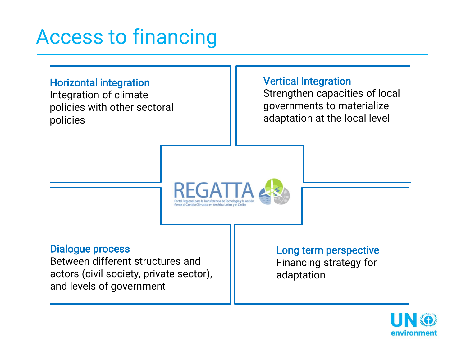### Access to financing

#### Horizontal integration

Integration of climate policies with other sectoral policies

#### Vertical Integration

Strengthen capacities of local governments to materialize adaptation at the local level



#### Dialogue process

Between different structures and actors (civil society, private sector), and levels of government

#### Long term perspective Financing strategy for

adaptation

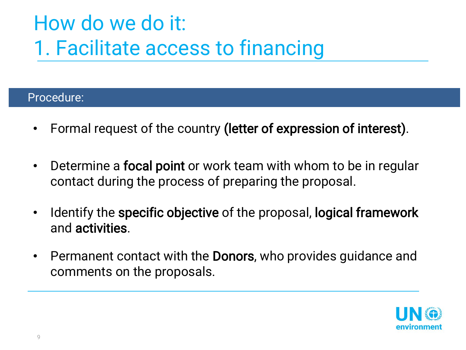## How do we do it: 1. Facilitate access to financing

#### Procedure:

- Formal request of the country (letter of expression of interest).
- Determine a focal point or work team with whom to be in regular contact during the process of preparing the proposal.
- Identify the specific objective of the proposal, logical framework and activities.
- Permanent contact with the **Donors**, who provides guidance and comments on the proposals.

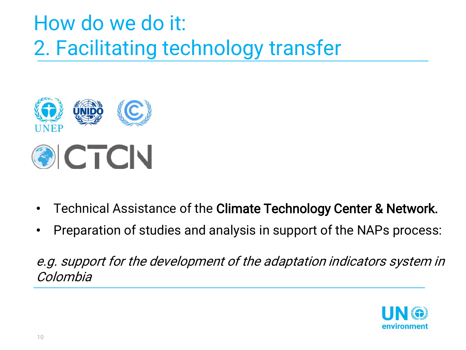## How do we do it: 2. Facilitating technology transfer



- Technical Assistance of the Climate Technology Center & Network.
- Preparation of studies and analysis in support of the NAPs process:

e.g. support for the development of the adaptation indicators system in Colombia

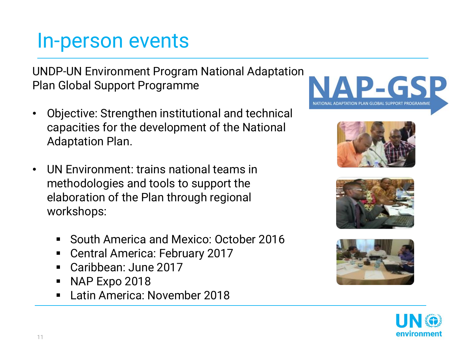### In-person events

UNDP-UN Environment Program National Adaptation Plan Global Support Programme

- Objective: Strengthen institutional and technical capacities for the development of the National Adaptation Plan.
- UN Environment: trains national teams in methodologies and tools to support the elaboration of the Plan through regional workshops:
	- **South America and Mexico: October 2016**
	- Central America: February 2017
	- Caribbean: June 2017
	- NAP Expo 2018
	- **Latin America: November 2018**